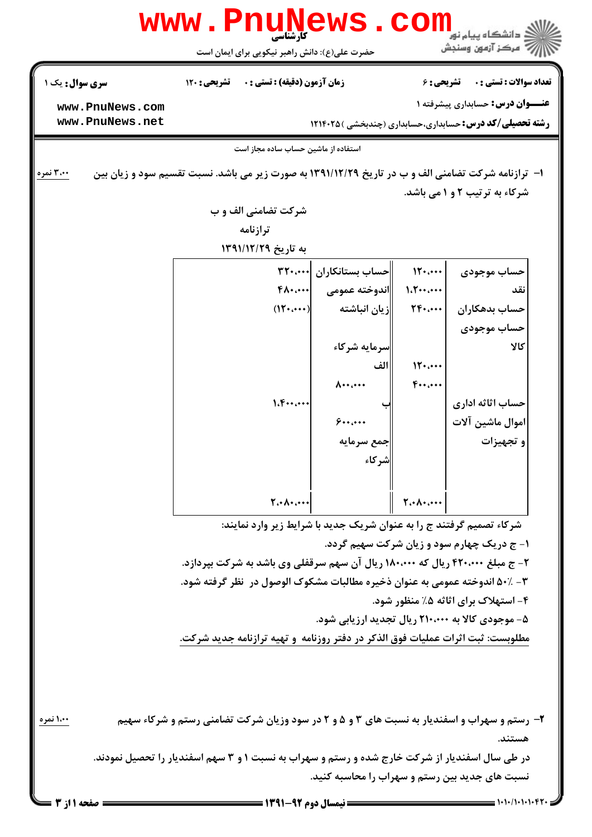|                        | کارشناسی<br>حضرت علی(ع): دانش راهبر نیکویی برای ایمان است                                                  |                               |                                                                                                                                                                                                                                                                                                                                                                                                                                                                                                                                                                                                   | بَ ۖ مرڪز آزمون وسنڊش                             |  |
|------------------------|------------------------------------------------------------------------------------------------------------|-------------------------------|---------------------------------------------------------------------------------------------------------------------------------------------------------------------------------------------------------------------------------------------------------------------------------------------------------------------------------------------------------------------------------------------------------------------------------------------------------------------------------------------------------------------------------------------------------------------------------------------------|---------------------------------------------------|--|
| <b>سری سوال :</b> یک ۱ | <b>زمان آزمون (دقیقه) : تستی : . ۔ ۔ تشریحی : 120</b>                                                      |                               | <b>تعداد سوالات : تستی : . ۔ ۔ تشریحی : 6</b>                                                                                                                                                                                                                                                                                                                                                                                                                                                                                                                                                     |                                                   |  |
| www.PnuNews.com        |                                                                                                            |                               | <b>عنـــوان درس:</b> حسابداری پیشرفته ۱                                                                                                                                                                                                                                                                                                                                                                                                                                                                                                                                                           |                                                   |  |
| www.PnuNews.net        | <b>رشته تحصیلی/کد درس: حسابداری،حسابداری (چندبخشی ) ۱۲۱۴۰۲۵</b>                                            |                               |                                                                                                                                                                                                                                                                                                                                                                                                                                                                                                                                                                                                   |                                                   |  |
|                        | استفاده از ماشین حساب ساده مجاز است                                                                        |                               |                                                                                                                                                                                                                                                                                                                                                                                                                                                                                                                                                                                                   |                                                   |  |
| ۳،۰۰ نمره              | <b>ا</b> - ترازنامه شرکت تضامنی الف و ب در تاریخ ۱۳۹۱/۱۲/۲۹ به صورت زیر می باشد. نسبت تقسیم سود و زیان بین |                               |                                                                                                                                                                                                                                                                                                                                                                                                                                                                                                                                                                                                   |                                                   |  |
|                        |                                                                                                            |                               |                                                                                                                                                                                                                                                                                                                                                                                                                                                                                                                                                                                                   | شرکاء به ترتیب ۲ و ۱ می باشد.                     |  |
|                        | شرکت تضامنی الف و ب                                                                                        |                               |                                                                                                                                                                                                                                                                                                                                                                                                                                                                                                                                                                                                   |                                                   |  |
|                        | ترازنامه                                                                                                   |                               |                                                                                                                                                                                                                                                                                                                                                                                                                                                                                                                                                                                                   |                                                   |  |
|                        | به تاریخ ۱۳۹۱/۱۲/۲۹                                                                                        |                               |                                                                                                                                                                                                                                                                                                                                                                                                                                                                                                                                                                                                   |                                                   |  |
|                        |                                                                                                            | حساب بستانكاران  ٢٢٠،٠٠٠      | 15                                                                                                                                                                                                                                                                                                                                                                                                                                                                                                                                                                                                | حساب موجودي                                       |  |
|                        |                                                                                                            | اندوخته عمومي      ۰۰۰،۰۰۰ \$ | 1.7                                                                                                                                                                                                                                                                                                                                                                                                                                                                                                                                                                                               | نقد                                               |  |
|                        | $(15 \cdots)$                                                                                              | زيان انباشته                  | $\mathsf{TP}\leftarrow\mathsf{CP}\leftarrow\mathsf{CP}\leftarrow\mathsf{CP}\leftarrow\mathsf{CP}\leftarrow\mathsf{CP}\leftarrow\mathsf{CP}\leftarrow\mathsf{CP}\leftarrow\mathsf{CP}\leftarrow\mathsf{CP}\leftarrow\mathsf{CP}\leftarrow\mathsf{CP}\leftarrow\mathsf{CP}\leftarrow\mathsf{CP}\leftarrow\mathsf{CP}\leftarrow\mathsf{CP}\leftarrow\mathsf{CP}\leftarrow\mathsf{CP}\leftarrow\mathsf{CP}\leftarrow\mathsf{CP}\leftarrow\mathsf{CP}\leftarrow\mathsf{CP}\leftarrow\mathsf{CP}\leftarrow\mathsf{CP}\leftarrow\mathsf{CP}\leftarrow\mathsf{CP}\leftarrow\mathsf{CP}\leftarrow\mathsf{$ | حساب بدهكاران                                     |  |
|                        |                                                                                                            |                               |                                                                                                                                                                                                                                                                                                                                                                                                                                                                                                                                                                                                   | حساب موجودي                                       |  |
|                        |                                                                                                            | سرمايه شركاء                  |                                                                                                                                                                                                                                                                                                                                                                                                                                                                                                                                                                                                   | كالا                                              |  |
|                        |                                                                                                            | الف                           | 15                                                                                                                                                                                                                                                                                                                                                                                                                                                                                                                                                                                                |                                                   |  |
|                        |                                                                                                            | $\lambda \cdots$              | $F_{\cdots}$                                                                                                                                                                                                                                                                                                                                                                                                                                                                                                                                                                                      |                                                   |  |
|                        | 1.5                                                                                                        |                               |                                                                                                                                                                                                                                                                                                                                                                                                                                                                                                                                                                                                   | حساب اثاثه اداري                                  |  |
|                        |                                                                                                            | 9                             |                                                                                                                                                                                                                                                                                                                                                                                                                                                                                                                                                                                                   | اموال ماشين آلات                                  |  |
|                        |                                                                                                            | جمع سرمايه                    |                                                                                                                                                                                                                                                                                                                                                                                                                                                                                                                                                                                                   | و تجهيزات                                         |  |
|                        |                                                                                                            | شر کاء                        |                                                                                                                                                                                                                                                                                                                                                                                                                                                                                                                                                                                                   |                                                   |  |
|                        | $T \cdot \Lambda \cdot \ldots$                                                                             |                               | $\mathbf{Y} \cdot \mathbf{A} \cdot \mathbf{A} \cdot \mathbf{A}$                                                                                                                                                                                                                                                                                                                                                                                                                                                                                                                                   |                                                   |  |
|                        | شرکاء تصمیم گرفتند ج را به عنوان شریک جدید با شرایط زیر وارد نمایند:                                       |                               |                                                                                                                                                                                                                                                                                                                                                                                                                                                                                                                                                                                                   |                                                   |  |
|                        |                                                                                                            |                               |                                                                                                                                                                                                                                                                                                                                                                                                                                                                                                                                                                                                   | ۱- ج دریک چهارم سود و زیان شرکت سهیم گردد.        |  |
|                        | ۲- ج مبلغ ۴۲۰،۰۰۰ ریال که ۱۸۰،۰۰۰ ریال آن سهم سرقفلی وی باشد به شرکت بپردازد.                              |                               |                                                                                                                                                                                                                                                                                                                                                                                                                                                                                                                                                                                                   |                                                   |  |
|                        | ۳- 50٪ اندوخته عمومي به عنوان ذخيره مطالبات مشكوك الوصول در ۖ نظر گرفته شود.                               |                               |                                                                                                                                                                                                                                                                                                                                                                                                                                                                                                                                                                                                   |                                                   |  |
|                        |                                                                                                            |                               |                                                                                                                                                                                                                                                                                                                                                                                                                                                                                                                                                                                                   | ۴- استهلاک برای اثاثه ۵٪ منظور شود.               |  |
|                        |                                                                                                            |                               |                                                                                                                                                                                                                                                                                                                                                                                                                                                                                                                                                                                                   | ۵- موجودی کالا به ۲۱۰،۰۰۰ ریال تجدید ارزیابی شود. |  |
|                        | مطلوبست: ثبت اثرات عملیات فوق الذکر در دفتر روزنامه ًو تهیه ترازنامه جدید شرکت.                            |                               |                                                                                                                                                                                                                                                                                                                                                                                                                                                                                                                                                                                                   |                                                   |  |
|                        |                                                                                                            |                               |                                                                                                                                                                                                                                                                                                                                                                                                                                                                                                                                                                                                   |                                                   |  |
| ۱،۰۰ نمره              | ۲- رستم و سهراب و اسفندیار به نسبت های ۳ و ۵ و ۲ در سود وزیان شرکت تضامنی رستم و شرکاء سهیم                |                               |                                                                                                                                                                                                                                                                                                                                                                                                                                                                                                                                                                                                   |                                                   |  |
|                        |                                                                                                            |                               |                                                                                                                                                                                                                                                                                                                                                                                                                                                                                                                                                                                                   | هستند.                                            |  |
|                        | در طی سال اسفندیار از شرکت خارج شده و رستم و سهراب به نسبت ۱ و ۳ سهم اسفندیار را تحصیل نمودند.             |                               |                                                                                                                                                                                                                                                                                                                                                                                                                                                                                                                                                                                                   |                                                   |  |
|                        |                                                                                                            |                               |                                                                                                                                                                                                                                                                                                                                                                                                                                                                                                                                                                                                   | نسبت های جدید بین رستم و سهراب را محاسبه کنید.    |  |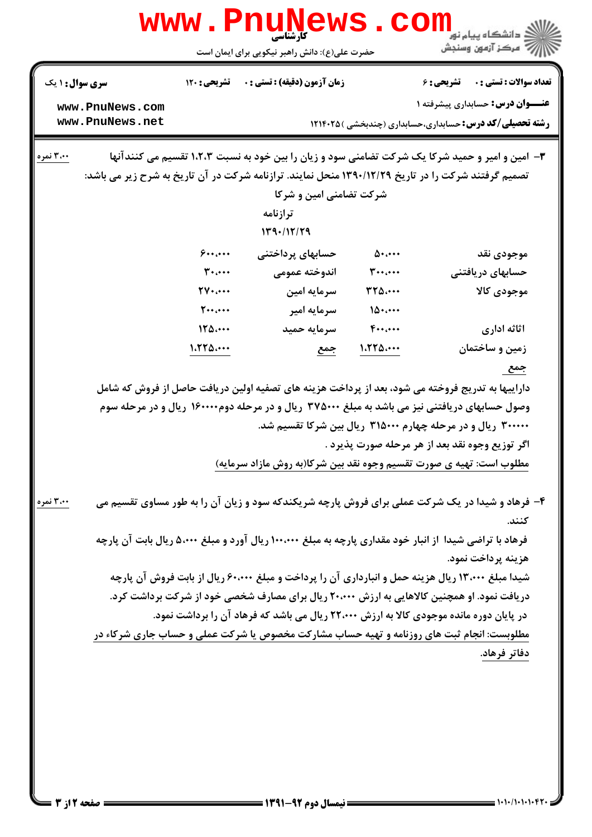| <b>www.PnuNe</b><br>ن دانشگاه پيام نو <mark>ر</mark><br>کار شناسی                                                                                                                                |                                                                                                                                                                                                     |                                               |                     |                                                                                                          |  |  |
|--------------------------------------------------------------------------------------------------------------------------------------------------------------------------------------------------|-----------------------------------------------------------------------------------------------------------------------------------------------------------------------------------------------------|-----------------------------------------------|---------------------|----------------------------------------------------------------------------------------------------------|--|--|
|                                                                                                                                                                                                  |                                                                                                                                                                                                     | حضرت علی(ع): دانش راهبر نیکویی برای ایمان است |                     | رآ مرڪز آزمون وسنڊش                                                                                      |  |  |
| <b>سری سوال : ۱ یک</b>                                                                                                                                                                           | تشریحی : ۱۲۰                                                                                                                                                                                        | زمان آزمون (دقيقه) : تستى : 0                 |                     | <b>تعداد سوالات : تستی : . ۔ ۔ تشریحی : 6</b>                                                            |  |  |
| www.PnuNews.com                                                                                                                                                                                  |                                                                                                                                                                                                     |                                               |                     | <b>عنـــوان درس:</b> حسابداری پیشرفته ۱                                                                  |  |  |
| www.PnuNews.net                                                                                                                                                                                  |                                                                                                                                                                                                     |                                               |                     | <b>رشته تحصیلی/کد درس:</b> حسابداری،حسابداری (چندبخشی ) ۱۲۱۴۰۲۵                                          |  |  |
| ۳،۰۰ نمره                                                                                                                                                                                        |                                                                                                                                                                                                     |                                               |                     | ۳- امین و امیر و حمید شرکا یک شرکت تضامنی سود و زیان را بین خود به نسبت ۱،۲،۳ تقسیم می کنندآنها          |  |  |
|                                                                                                                                                                                                  |                                                                                                                                                                                                     |                                               |                     | تصمیم گرفتند شرکت را در تاریخ ۱۳۹۰/۱۲/۲۹ منحل نمایند. ترازنامه شرکت در آن تاریخ به شرح زیر می باشد:      |  |  |
|                                                                                                                                                                                                  |                                                                                                                                                                                                     | شرکت تضامنی امین و شرکا                       |                     |                                                                                                          |  |  |
|                                                                                                                                                                                                  |                                                                                                                                                                                                     | ترازنامه<br>149.117/79                        |                     |                                                                                                          |  |  |
|                                                                                                                                                                                                  | 9                                                                                                                                                                                                   | حسابهای پرداختنی                              | $\Delta$ + $\cdots$ | موجودي نقد                                                                                               |  |  |
|                                                                                                                                                                                                  | $\mathbf{r}$                                                                                                                                                                                        | اندوخته عمومى                                 | $\mathbf{r} \cdots$ | حسابهای دریافتنی                                                                                         |  |  |
|                                                                                                                                                                                                  | $\mathbf{y}, \dots$                                                                                                                                                                                 | سرمايه امين                                   | <b>٣٢۵</b>          | موجودى كالا                                                                                              |  |  |
|                                                                                                                                                                                                  | $\mathbf{y} \cdots \mathbf{y}$                                                                                                                                                                      | سرمايه امير                                   | 10                  |                                                                                                          |  |  |
|                                                                                                                                                                                                  | 170                                                                                                                                                                                                 | سرمايه حميد                                   | $F \cdots$          | اثاثه ادارى                                                                                              |  |  |
|                                                                                                                                                                                                  | 1.550                                                                                                                                                                                               | <u>جمع</u>                                    | 1.770               | زمین و ساختمان                                                                                           |  |  |
|                                                                                                                                                                                                  |                                                                                                                                                                                                     |                                               |                     | <u>جمع</u>                                                                                               |  |  |
|                                                                                                                                                                                                  | داراییها به تدریج فروخته می شود، بعد از پرداخت هزینه های تصفیه اولین دریافت حاصل از فروش که شامل<br>وصول حسابهای دریافتنی نیز می باشد به مبلغ ۳۷۵۰۰۰ ریال و در مرحله دوم۱۶۰۰۰۰۰ ریال و در مرحله سوم |                                               |                     |                                                                                                          |  |  |
|                                                                                                                                                                                                  |                                                                                                                                                                                                     |                                               |                     | ۳۰۰۰۰۰ ریال و در مرحله چهارم ۳۱۵۰۰۰ ریال بین شرکا تقسیم شد.                                              |  |  |
|                                                                                                                                                                                                  |                                                                                                                                                                                                     |                                               |                     | اگر توزیع وجوه نقد بعد از هر مرحله صورت پذیرد .                                                          |  |  |
|                                                                                                                                                                                                  |                                                                                                                                                                                                     |                                               |                     | مطلوب است: تهیه ی صورت تقسیم وجوه نقد بین شرکا(به روش مازاد سرمایه)                                      |  |  |
| 300 آلمره                                                                                                                                                                                        |                                                                                                                                                                                                     |                                               |                     | ۴- فرهاد و شیدا در یک شرکت عملی برای فروش پارچه شریکندکه سود و زیان آن را به طور مساوی تقسیم می<br>كنند. |  |  |
|                                                                                                                                                                                                  |                                                                                                                                                                                                     |                                               |                     | فرهاد با تراضی شیدا از انبار خود مقداری پارچه به مبلغ ۱۰۰،۰۰۰ ریال آورد و مبلغ ۵،۰۰۰ ریال بابت آن پارچه  |  |  |
|                                                                                                                                                                                                  |                                                                                                                                                                                                     |                                               |                     | هزينه پرداخت نمود.                                                                                       |  |  |
| شیدا مبلغ ۱۳٬۰۰۰ ریال هزینه حمل و انبارداری آن را پرداخت و مبلغ ۶۰٬۰۰۰ ریال از بابت فروش آن پارچه<br>دریافت نمود. او همچنین کالاهایی به ارزش ۲۰،۰۰۰ ریال برای مصارف شخصی خود از شرکت برداشت کرد. |                                                                                                                                                                                                     |                                               |                     |                                                                                                          |  |  |
|                                                                                                                                                                                                  |                                                                                                                                                                                                     |                                               |                     | در پایان دوره مانده موجودی کالا به ارزش ۲۲،۰۰۰ ریال می باشد که فرهاد آن را برداشت نمود.                  |  |  |
|                                                                                                                                                                                                  |                                                                                                                                                                                                     |                                               |                     |                                                                                                          |  |  |
| مطلوبست: انجام ثبت های روزنامه و تهیه حساب مشارکت مخصوص یا شرکت عملی و حساب جاری شرکاء در<br>دفاتر فرهاد.                                                                                        |                                                                                                                                                                                                     |                                               |                     |                                                                                                          |  |  |
|                                                                                                                                                                                                  |                                                                                                                                                                                                     |                                               |                     |                                                                                                          |  |  |
|                                                                                                                                                                                                  |                                                                                                                                                                                                     |                                               |                     |                                                                                                          |  |  |
|                                                                                                                                                                                                  |                                                                                                                                                                                                     |                                               |                     |                                                                                                          |  |  |
|                                                                                                                                                                                                  |                                                                                                                                                                                                     |                                               |                     |                                                                                                          |  |  |
|                                                                                                                                                                                                  |                                                                                                                                                                                                     |                                               |                     |                                                                                                          |  |  |
|                                                                                                                                                                                                  |                                                                                                                                                                                                     |                                               |                     |                                                                                                          |  |  |